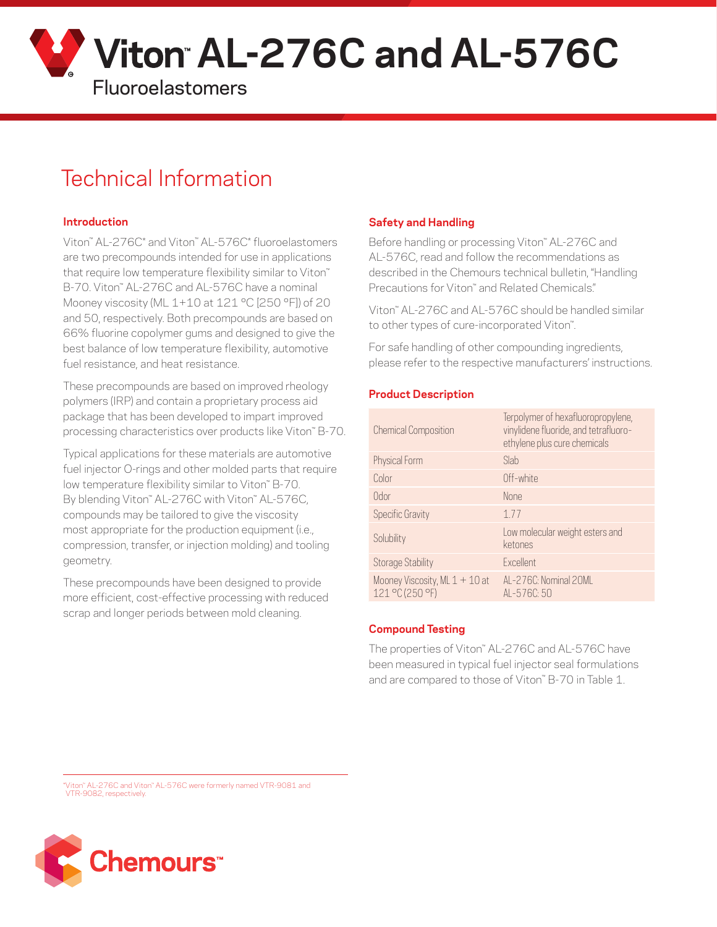

# Technical Information

### **Introduction**

Viton™ AL-276C\* and Viton™ AL-576C\* fluoroelastomers are two precompounds intended for use in applications that require low temperature flexibility similar to Viton™ B-70. Viton™ AL-276C and AL-576C have a nominal Mooney viscosity (ML 1+10 at 121 °C [250 °F]) of 20 and 50, respectively. Both precompounds are based on 66% fluorine copolymer gums and designed to give the best balance of low temperature flexibility, automotive fuel resistance, and heat resistance.

These precompounds are based on improved rheology polymers (IRP) and contain a proprietary process aid package that has been developed to impart improved processing characteristics over products like Viton™ B-70.

Typical applications for these materials are automotive fuel injector O-rings and other molded parts that require low temperature flexibility similar to Viton™ B-70. By blending Viton™ AL-276C with Viton™ AL-576C, compounds may be tailored to give the viscosity most appropriate for the production equipment (i.e., compression, transfer, or injection molding) and tooling geometry.

These precompounds have been designed to provide more efficient, cost-effective processing with reduced scrap and longer periods between mold cleaning.

### **Safety and Handling**

Before handling or processing Viton™ AL-276C and AL-576C, read and follow the recommendations as described in the Chemours technical bulletin, "Handling Precautions for Viton™ and Related Chemicals."

Viton™ AL-276C and AL-576C should be handled similar to other types of cure-incorporated Viton™.

For safe handling of other compounding ingredients, please refer to the respective manufacturers' instructions.

### **Product Description**

| <b>Chemical Composition</b>                         | Terpolymer of hexafluoropropylene,<br>vinylidene fluoride, and tetrafluoro-<br>ethylene plus cure chemicals |
|-----------------------------------------------------|-------------------------------------------------------------------------------------------------------------|
| Physical Form                                       | Slab                                                                                                        |
| Color                                               | Off-white                                                                                                   |
| Odor                                                | <b>None</b>                                                                                                 |
| <b>Specific Gravity</b>                             | 177                                                                                                         |
| Solubility                                          | Low molecular weight esters and<br>ketones                                                                  |
| <b>Storage Stability</b>                            | <b>Fxcellent</b>                                                                                            |
| Mooney Viscosity, ML $1 + 10$ at<br>121 °C (250 °F) | AL-276C: Nominal 20ML<br>AL-576C: 50                                                                        |

### **Compound Testing**

The properties of Viton™ AL-276C and AL-576C have been measured in typical fuel injector seal formulations and are compared to those of Viton™ B-70 in Table 1.

\*Viton™ AL-276C and Viton™ AL-576C were formerly named VTR-9081 and VTR-9082, respectively.

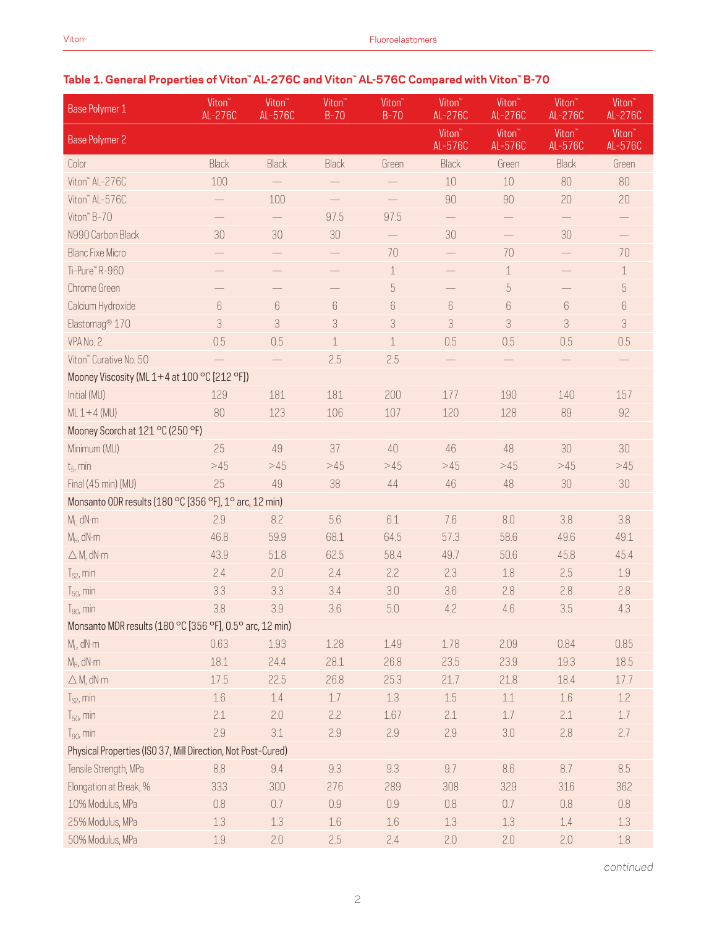## Table 1. General Properties of Viton<sup>™</sup> AL-276C and Viton<sup>™</sup> AL-576C Compared with Viton™ B-70

| Base Polymer 1                                               | Viton <sup>"</sup><br>AL-276C | Viton <sup>"</sup><br>AL-576C | Viton <sup>"</sup><br>$B-70$ | Viton <sup>®</sup><br>$B-70$ | Viton <sup>"</sup><br>AL-276C | Viton <sup>"</sup><br>AL-276C | $V$ iton<br>AL-276C           | Viton <sup>"</sup><br>AL-276C |
|--------------------------------------------------------------|-------------------------------|-------------------------------|------------------------------|------------------------------|-------------------------------|-------------------------------|-------------------------------|-------------------------------|
| <b>Base Polymer 2</b>                                        |                               |                               |                              |                              | Viton <sup>"</sup><br>AL-576C | Viton <sup>"</sup><br>AL-576C | Viton <sup>"</sup><br>AL-576C | Viton <sup>"</sup><br>AL-576C |
| Color                                                        | Black                         | Black                         | Black                        | Green                        | Black                         | Green                         | Black                         | Green                         |
| Viton" AL-276C                                               | 100                           |                               |                              |                              | 10                            | 10                            | 80                            | 80                            |
| Viton" AL-576C                                               | $\qquad \qquad -$             | 100                           |                              | $\qquad \qquad -$            | 90                            | 90                            | 20                            | 20                            |
| Viton" B-70                                                  |                               |                               | 97.5                         | 97.5                         |                               | $\overline{\phantom{0}}$      |                               |                               |
| N990 Carbon Black                                            | 30                            | 30                            | 30                           | $\qquad \qquad -$            | 30                            | $\overline{\phantom{0}}$      | 30                            |                               |
| <b>Blanc Fixe Micro</b>                                      |                               |                               | $\overline{\phantom{0}}$     | 70                           | $\overline{\phantom{0}}$      | 70                            |                               | 70                            |
| Ti-Pure™R-960                                                |                               |                               | —                            | $\mathbf 1$                  |                               | $\mathbf 1$                   |                               | 1                             |
| Chrome Green                                                 |                               |                               | $\overline{\phantom{0}}$     | 5                            | $\overline{\phantom{0}}$      | $\sqrt{5}$                    |                               | 5                             |
| Calcium Hydroxide                                            | $6\,$                         | 6                             | $\boldsymbol{6}$             | $6\,$                        | $6\,$                         | $6\,$                         | $6\,$                         | 6                             |
| Elastomag <sup>®</sup> 170                                   | 3                             | 3                             | 3                            | 3                            | 3                             | 3                             | 3                             | 3                             |
| VPA No. 2                                                    | 0.5                           | 0.5                           | $\mathbf 1$                  | $1\,$                        | 0.5                           | 0.5                           | 0.5                           | 0.5                           |
| Viton" Curative No. 50                                       |                               |                               | 2.5                          | 2.5                          |                               |                               |                               |                               |
| Mooney Viscosity (ML 1+4 at 100 °C [212 °F])                 |                               |                               |                              |                              |                               |                               |                               |                               |
| Initial (MU)                                                 | 129                           | 181                           | 181                          | 200                          | 177                           | 190                           | 140                           | 157                           |
| $ML 1+4$ (MU)                                                | 80                            | 123                           | 106                          | 107                          | 120                           | 128                           | 89                            | 92                            |
| Mooney Scorch at 121 °C (250 °F)                             |                               |                               |                              |                              |                               |                               |                               |                               |
| Minimum (MU)                                                 | 25                            | 49                            | 37                           | 40                           | 46                            | 48                            | 30                            | 30                            |
| $t_5$ , min                                                  | $>45$                         | >45                           | >45                          | >45                          | >45                           | $>45$                         | >45                           | $>45$                         |
| Final (45 min) (MU)                                          | 25                            | 49                            | 38                           | 44                           | 46                            | 48                            | 30                            | 30                            |
| Monsanto ODR results (180 °C [356 °F], 1° arc, 12 min)       |                               |                               |                              |                              |                               |                               |                               |                               |
| $M_L$ dN·m                                                   | 2.9                           | 8.2                           | 5.6                          | 6.1                          | 7.6                           | 8.0                           | 3.8                           | 3.8                           |
| $M_H$ , dN·m                                                 | 46.8                          | 59.9                          | 68.1                         | 64.5                         | 57.3                          | 58.6                          | 49.6                          | 49.1                          |
| $\triangle$ M, dN·m                                          | 43.9                          | 51.8                          | 62.5                         | 58.4                         | 49.7                          | 50.6                          | 45.8                          | 45.4                          |
| $T_{S2}$ , min                                               | 2.4                           | 2.0                           | 2.4                          | 2.2                          | 2.3                           | 1.8                           | 2.5                           | $1.9\,$                       |
| $T_{50}$ , min                                               | 3.3                           | 3.3                           | 3.4                          | 3.0                          | 3.6                           | 2.8                           | 2.8                           | 2.8                           |
| $T_{90}$ , min                                               | 3.8                           | 3.9                           | 3.6                          | 5.0                          | 4.2                           | 4.6                           | 3.5                           | 4.3                           |
| Monsanto MDR results (180 °C [356 °F], 0.5° arc, 12 min)     |                               |                               |                              |                              |                               |                               |                               |                               |
| $M1$ , dN·m                                                  | 0.63                          | 1.93                          | 1.28                         | 1.49                         | 1.78                          | 2.09                          | 0.84                          | 0.85                          |
| $M_H$ , dN·m                                                 | 18.1                          | 24.4                          | 28.1                         | 26.8                         | 23.5                          | 23.9                          | 19.3                          | 18.5                          |
| $\triangle$ M, dN·m                                          | 17.5                          | 22.5                          | 26.8                         | 25.3                         | 21.7                          | 21.8                          | 18.4                          | 17.7                          |
| $TS2$ , min                                                  | $1.6\,$                       | $1.4\,$                       | 1.7                          | 1.3                          | $1.5\,$                       | $1.1\,$                       | $1.6\,$                       | 1.2                           |
| $T_{50}$ , min                                               | 2.1                           | 2.0                           | 2.2                          | 1.67                         | 2.1                           | $1.7\,$                       | 2.1                           | 1.7                           |
| $T_{90}$ , min                                               | 2.9                           | 3.1                           | 2.9                          | 2.9                          | 2.9                           | 3.0                           | 2.8                           | 2.7                           |
| Physical Properties (ISO 37, Mill Direction, Not Post-Cured) |                               |                               |                              |                              |                               |                               |                               |                               |
| Tensile Strength, MPa                                        | 8.8                           | 9.4                           | 9.3                          | 9.3                          | 9.7                           | 8.6                           | 8.7                           | 8.5                           |
| Elongation at Break, %                                       | 333                           | 300                           | 276                          | 289                          | 308                           | 329                           | 316                           | 362                           |
| 10% Modulus, MPa                                             | $0.8\,$                       | $0.7\,$                       | $0.9\,$                      | 0.9                          | $0.8\,$                       | 0.7                           | 0.8                           | $0.8\,$                       |
| 25% Modulus, MPa                                             | $1.3\,$                       | 1.3                           | 1.6                          | 1.6                          | 1.3                           | 1.3                           | $1.4\,$                       | 1.3                           |
| 50% Modulus, MPa                                             | $1.9\,$                       | 2.0                           | $2.5\,$                      | 2.4                          | 2.0                           | 2.0                           | 2.0                           | $1.8\,$                       |

*continued*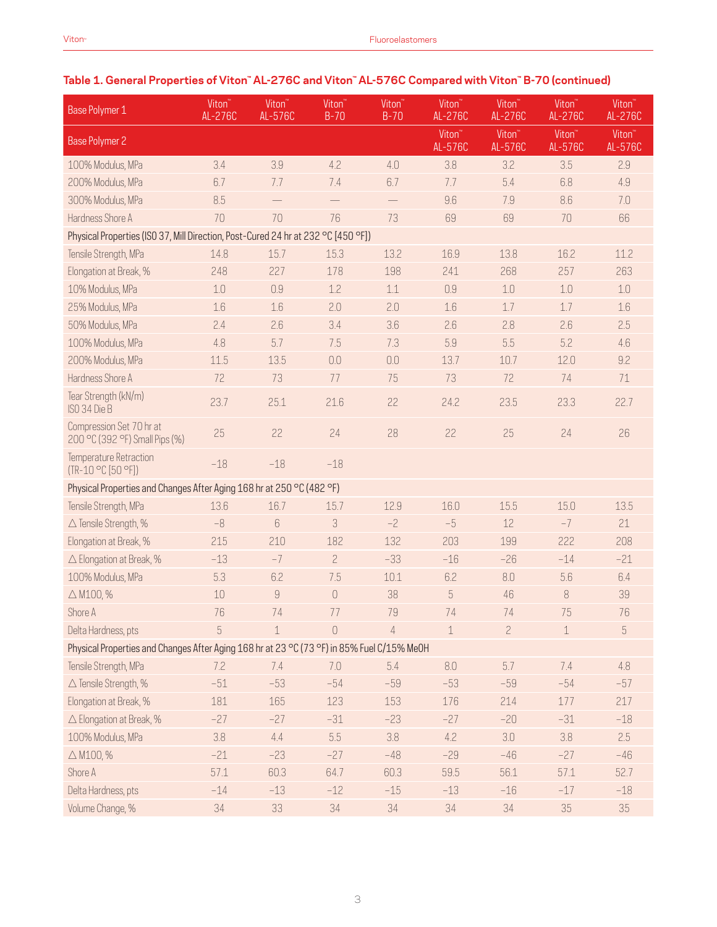### **Table 1. General Properties of Viton™ AL-276C and Viton™ AL-576C Compared with Viton™ B-70 (continued)**

| Base Polymer 1                                                                             | Viton <sup>"</sup><br>AL-276C | Viton <sup>"</sup><br>AL-576C | Viton <sup>"</sup><br>$B-70$    | Viton <sup>™</sup><br>$B-70$ | Viton <sup>"</sup><br>AL-276C | Viton <sup>"</sup><br>AL-276C | Viton <sup>"</sup><br>AL-276C | Viton <sup>"</sup><br>AL-276C |
|--------------------------------------------------------------------------------------------|-------------------------------|-------------------------------|---------------------------------|------------------------------|-------------------------------|-------------------------------|-------------------------------|-------------------------------|
| <b>Base Polymer 2</b>                                                                      |                               |                               |                                 |                              | Viton <sup>"</sup><br>AL-576C | Viton <sup>"</sup><br>AL-576C | Viton <sup>"</sup><br>AL-576C | Viton <sup>"</sup><br>AL-576C |
| 100% Modulus, MPa                                                                          | 3.4                           | 3.9                           | 4.2                             | 4.0                          | 3.8                           | 3.2                           | 3.5                           | 2.9                           |
| 200% Modulus, MPa                                                                          | 6.7                           | 7.7                           | 7.4                             | 6.7                          | 7.7                           | 5.4                           | 6.8                           | 4.9                           |
| 300% Modulus, MPa                                                                          | 8.5                           |                               |                                 |                              | 9.6                           | 7.9                           | 8.6                           | 7.0                           |
| Hardness Shore A                                                                           | 70                            | 70                            | 76                              | 73                           | 69                            | 69                            | 70                            | 66                            |
| Physical Properties (ISO 37, Mill Direction, Post-Cured 24 hr at 232 °C [450 °F])          |                               |                               |                                 |                              |                               |                               |                               |                               |
| Tensile Strength, MPa                                                                      | 14.8                          | 15.7                          | 15.3                            | 13.2                         | 16.9                          | 13.8                          | 16.2                          | 11.2                          |
| Elongation at Break, %                                                                     | 248                           | 227                           | 178                             | 198                          | 241                           | 268                           | 257                           | 263                           |
| 10% Modulus, MPa                                                                           | 1.0                           | 0.9                           | 1.2                             | 1.1                          | 0.9                           | 1.0                           | $1.0\,$                       | $1.0\,$                       |
| 25% Modulus, MPa                                                                           | 1.6                           | 1.6                           | 2.0                             | 2.0                          | 1.6                           | 1.7                           | 1.7                           | 1.6                           |
| 50% Modulus, MPa                                                                           | 2.4                           | 2.6                           | 3.4                             | 3.6                          | 2.6                           | 2.8                           | 2.6                           | 2.5                           |
| 100% Modulus, MPa                                                                          | 4.8                           | 5.7                           | 7.5                             | 7.3                          | 5.9                           | 5.5                           | 5.2                           | 4.6                           |
| 200% Modulus, MPa                                                                          | 11.5                          | 13.5                          | 0.0                             | 0.0                          | 13.7                          | 10.7                          | 12.0                          | 9.2                           |
| Hardness Shore A                                                                           | 72                            | 73                            | 77                              | 75                           | 73                            | 72                            | 74                            | 71                            |
| Tear Strength (kN/m)<br>ISO 34 Die B                                                       | 23.7                          | 25.1                          | 21.6                            | 22                           | 24.2                          | 23.5                          | 23.3                          | 22.7                          |
| Compression Set 70 hr at<br>200 °C (392 °F) Small Pips (%)                                 | 25                            | 22                            | 24                              | 28                           | 22                            | 25                            | 24                            | 26                            |
| Temperature Retraction<br>(TR-10 °C [50 °F])                                               | $-18$                         | $-18$                         | $-18$                           |                              |                               |                               |                               |                               |
| Physical Properties and Changes After Aging 168 hr at 250 °C (482 °F)                      |                               |                               |                                 |                              |                               |                               |                               |                               |
| Tensile Strength, MPa                                                                      | 13.6                          | 16.7                          | 15.7                            | 12.9                         | 16.0                          | 15.5                          | 15.0                          | 13.5                          |
| $\triangle$ Tensile Strength, %                                                            | $-8$                          | $6\overline{6}$               | 3                               | $-2$                         | $-5$                          | 12                            | $-7$                          | 21                            |
| Elongation at Break, %                                                                     | 215                           | 210                           | 182                             | 132                          | 203                           | 199                           | 222                           | 208                           |
| $\triangle$ Elongation at Break, %                                                         | $-13$                         | $-7$                          | $\overline{c}$                  | $-33$                        | $-16$                         | $-26$                         | $-14$                         | $-21$                         |
| 100% Modulus, MPa                                                                          | 5.3                           | 6.2                           | 7.5                             | 10.1                         | 6.2                           | 8.0                           | 5.6                           | 6.4                           |
| $\triangle$ M100,%                                                                         | 10                            | $\overline{9}$                | $\begin{matrix} 0 \end{matrix}$ | 38                           | 5                             | 46                            | 8                             | 39                            |
| Shore A                                                                                    | 76                            | 74                            | 77                              | 79                           | 74                            | 74                            | 75                            | 76                            |
| Delta Hardness, pts                                                                        | 5                             | 1                             | $\cup$                          | $\overline{4}$               | 1                             | $\overline{c}$                | 1                             | $\sqrt{5}$                    |
| Physical Properties and Changes After Aging 168 hr at 23 °C (73 °F) in 85% Fuel C/15% MeOH |                               |                               |                                 |                              |                               |                               |                               |                               |
| Tensile Strength, MPa                                                                      | 7.2                           | 7.4                           | $7.0\,$                         | 5.4                          | 8.0                           | 5.7                           | 7.4                           | 4.8                           |
| $\triangle$ Tensile Strength, %                                                            | $-51$                         | $-53$                         | $-54$                           | $-59$                        | $-53$                         | $-59$                         | $-54$                         | $-57$                         |
| Elongation at Break, %                                                                     | 181                           | 165                           | 123                             | 153                          | 176                           | 214                           | 177                           | 217                           |
| $\triangle$ Elongation at Break, %                                                         | $-27$                         | $-27$                         | $-31$                           | $-23$                        | $-27$                         | $-20$                         | $-31$                         | $-18$                         |
| 100% Modulus, MPa                                                                          | 3.8                           | 4.4                           | $5.5\,$                         | 3.8                          | 4.2                           | 3.0                           | 3.8                           | 2.5                           |
| $\triangle$ M100, %                                                                        | $-21$                         | $-23$                         | $-27$                           | $-48$                        | $-29$                         | $-46$                         | $-27$                         | $-46$                         |
| Shore A                                                                                    | 57.1                          | 60.3                          | 64.7                            | 60.3                         | 59.5                          | 56.1                          | 57.1                          | 52.7                          |
| Delta Hardness, pts                                                                        | $-14$                         | $-13$                         | $-12$                           | $-15$                        | $-13$                         | $-16$                         | $-17$                         | $-18$                         |
| Volume Change, %                                                                           | 34                            | 33                            | 34                              | 34                           | 34                            | 34                            | $35\,$                        | 35                            |